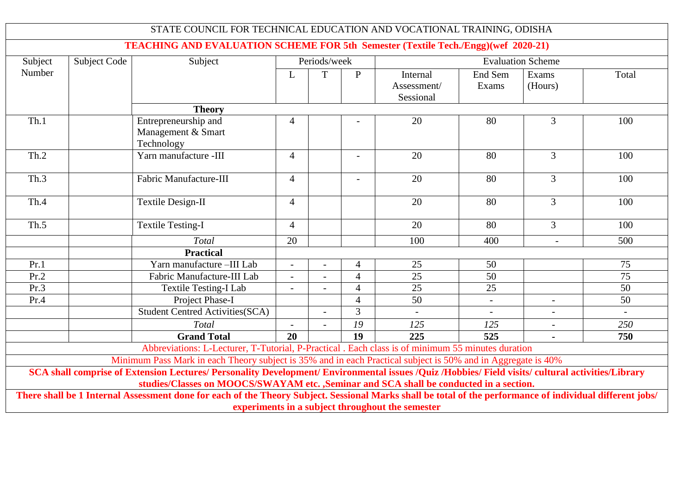| STATE COUNCIL FOR TECHNICAL EDUCATION AND VOCATIONAL TRAINING, ODISHA |                                                                                                                                                                                                                                             |                                                                                                                                                           |                          |                |                |                                      |                          |                          |                           |
|-----------------------------------------------------------------------|---------------------------------------------------------------------------------------------------------------------------------------------------------------------------------------------------------------------------------------------|-----------------------------------------------------------------------------------------------------------------------------------------------------------|--------------------------|----------------|----------------|--------------------------------------|--------------------------|--------------------------|---------------------------|
|                                                                       |                                                                                                                                                                                                                                             | <b>TEACHING AND EVALUATION SCHEME FOR 5th Semester (Textile Tech./Engg)(wef 2020-21)</b>                                                                  |                          |                |                |                                      |                          |                          |                           |
| Subject                                                               | <b>Subject Code</b>                                                                                                                                                                                                                         | Subject                                                                                                                                                   |                          | Periods/week   |                |                                      |                          | <b>Evaluation Scheme</b> |                           |
| Number                                                                |                                                                                                                                                                                                                                             |                                                                                                                                                           | L                        | T              | $\mathbf{P}$   | Internal<br>Assessment/<br>Sessional | End Sem<br>Exams         | Exams<br>(Hours)         | Total                     |
|                                                                       |                                                                                                                                                                                                                                             | <b>Theory</b>                                                                                                                                             |                          |                |                |                                      |                          |                          |                           |
| Th.1                                                                  |                                                                                                                                                                                                                                             | Entrepreneurship and<br>Management & Smart<br>Technology                                                                                                  | $\overline{4}$           |                |                | 20                                   | 80                       | $\overline{3}$           | 100                       |
| Th.2                                                                  |                                                                                                                                                                                                                                             | Yarn manufacture -III                                                                                                                                     | $\overline{4}$           |                | $\overline{a}$ | 20                                   | 80                       | $\overline{3}$           | 100                       |
| Th.3                                                                  |                                                                                                                                                                                                                                             | <b>Fabric Manufacture-III</b>                                                                                                                             | $\overline{4}$           |                |                | 20                                   | 80                       | 3                        | 100                       |
| Th.4                                                                  |                                                                                                                                                                                                                                             | Textile Design-II                                                                                                                                         | $\overline{4}$           |                |                | 20                                   | 80                       | $\overline{3}$           | 100                       |
| Th.5                                                                  |                                                                                                                                                                                                                                             | <b>Textile Testing-I</b>                                                                                                                                  | $\overline{4}$           |                |                | 20                                   | 80                       | $\overline{3}$           | 100                       |
|                                                                       |                                                                                                                                                                                                                                             | Total                                                                                                                                                     | 20                       |                |                | 100                                  | 400                      | $\overline{\phantom{a}}$ | 500                       |
|                                                                       |                                                                                                                                                                                                                                             | <b>Practical</b>                                                                                                                                          |                          |                |                |                                      |                          |                          |                           |
| Pr.1                                                                  |                                                                                                                                                                                                                                             | Yarn manufacture -III Lab                                                                                                                                 | $\blacksquare$           |                | $\overline{4}$ | 25                                   | 50                       |                          | 75                        |
| Pr.2                                                                  |                                                                                                                                                                                                                                             | Fabric Manufacture-III Lab                                                                                                                                | $\overline{a}$           |                | $\overline{4}$ | 25                                   | 50                       |                          | 75                        |
| Pr.3                                                                  |                                                                                                                                                                                                                                             | <b>Textile Testing-I Lab</b>                                                                                                                              | $\overline{\phantom{a}}$ |                | $\overline{4}$ | 25                                   | 25                       |                          | 50                        |
| Pr.4                                                                  |                                                                                                                                                                                                                                             | Project Phase-I                                                                                                                                           |                          |                | 4              | $\overline{50}$                      | $\overline{\phantom{a}}$ | $\overline{\phantom{a}}$ | 50                        |
|                                                                       |                                                                                                                                                                                                                                             | <b>Student Centred Activities (SCA)</b>                                                                                                                   |                          | $\overline{a}$ | 3              |                                      | $\mathbf{r}$             |                          | $\mathbb{Z}^{\mathbb{Z}}$ |
|                                                                       |                                                                                                                                                                                                                                             | Total                                                                                                                                                     |                          |                | 19             | 125                                  | 125                      |                          | 250                       |
|                                                                       |                                                                                                                                                                                                                                             | <b>Grand Total</b>                                                                                                                                        | 20                       |                | 19             | 225                                  | 525                      | $\blacksquare$           | 750                       |
|                                                                       |                                                                                                                                                                                                                                             | Abbreviations: L-Lecturer, T-Tutorial, P-Practical . Each class is of minimum 55 minutes duration                                                         |                          |                |                |                                      |                          |                          |                           |
|                                                                       | Minimum Pass Mark in each Theory subject is 35% and in each Practical subject is 50% and in Aggregate is 40%                                                                                                                                |                                                                                                                                                           |                          |                |                |                                      |                          |                          |                           |
|                                                                       | SCA shall comprise of Extension Lectures/ Personality Development/ Environmental issues /Quiz /Hobbies/ Field visits/ cultural activities/Library<br>studies/Classes on MOOCS/SWAYAM etc. ,Seminar and SCA shall be conducted in a section. |                                                                                                                                                           |                          |                |                |                                      |                          |                          |                           |
|                                                                       |                                                                                                                                                                                                                                             | There shall be 1 Internal Assessment done for each of the Theory Subject. Sessional Marks shall be total of the performance of individual different jobs/ |                          |                |                |                                      |                          |                          |                           |
| experiments in a subject throughout the semester                      |                                                                                                                                                                                                                                             |                                                                                                                                                           |                          |                |                |                                      |                          |                          |                           |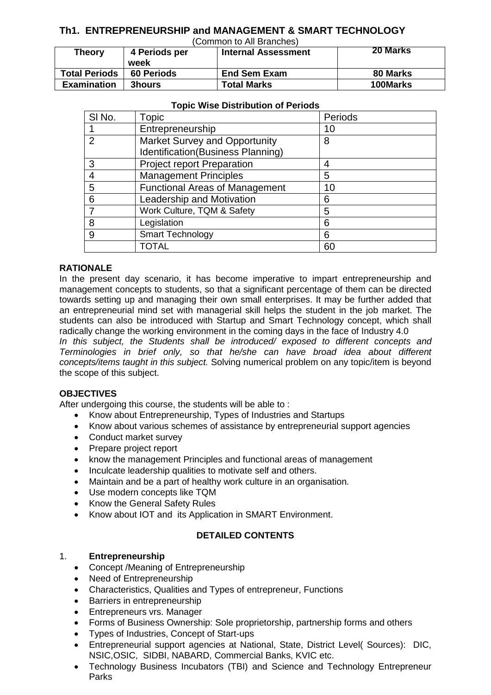# **Th1. ENTREPRENEURSHIP and MANAGEMENT & SMART TECHNOLOGY**

| (Common to All Branches)                                                 |                   |                     |          |  |
|--------------------------------------------------------------------------|-------------------|---------------------|----------|--|
| 20 Marks<br><b>Theory</b><br>4 Periods per<br><b>Internal Assessment</b> |                   |                     |          |  |
|                                                                          | week              |                     |          |  |
| <b>Total Periods</b>                                                     | <b>60 Periods</b> | <b>End Sem Exam</b> | 80 Marks |  |
| <b>Examination</b>                                                       | 3hours            | <b>Total Marks</b>  | 100Marks |  |

|               | <u>IUDIU TIISE DISLIIDULIUII UI I EIIUUS</u> |         |  |  |  |  |
|---------------|----------------------------------------------|---------|--|--|--|--|
| SI No.        | Topic                                        | Periods |  |  |  |  |
|               | Entrepreneurship                             | 10      |  |  |  |  |
| $\mathcal{P}$ | <b>Market Survey and Opportunity</b>         | 8       |  |  |  |  |
|               | Identification(Business Planning)            |         |  |  |  |  |
| 3             | <b>Project report Preparation</b>            | 4       |  |  |  |  |
|               | <b>Management Principles</b>                 | 5       |  |  |  |  |
| 5             | <b>Functional Areas of Management</b>        | 10      |  |  |  |  |
| 6             | Leadership and Motivation                    | 6       |  |  |  |  |
|               | Work Culture, TQM & Safety                   | 5       |  |  |  |  |
| 8             | Legislation                                  | 6       |  |  |  |  |
| 9             | <b>Smart Technology</b>                      | 6       |  |  |  |  |
|               | TOTAL                                        | 60      |  |  |  |  |

#### **Topic Wise Distribution of Periods**

### **RATIONALE**

In the present day scenario, it has become imperative to impart entrepreneurship and management concepts to students, so that a significant percentage of them can be directed towards setting up and managing their own small enterprises. It may be further added that an entrepreneurial mind set with managerial skill helps the student in the job market. The students can also be introduced with Startup and Smart Technology concept, which shall radically change the working environment in the coming days in the face of Industry 4.0

*In this subject, the Students shall be introduced/ exposed to different concepts and Terminologies in brief only, so that he/she can have broad idea about different concepts/items taught in this subject.* Solving numerical problem on any topic/item is beyond the scope of this subject.

#### **OBJECTIVES**

After undergoing this course, the students will be able to :

- Know about Entrepreneurship, Types of Industries and Startups
- Know about various schemes of assistance by entrepreneurial support agencies
- Conduct market survey
- Prepare project report
- know the management Principles and functional areas of management
- Inculcate leadership qualities to motivate self and others.
- Maintain and be a part of healthy work culture in an organisation.
- Use modern concepts like TQM
- Know the General Safety Rules
- Know about IOT and its Application in SMART Environment.

### **DETAILED CONTENTS**

#### 1. **Entrepreneurship**

- Concept /Meaning of Entrepreneurship
- Need of Entrepreneurship
- Characteristics, Qualities and Types of entrepreneur, Functions
- Barriers in entrepreneurship
- Entrepreneurs vrs. Manager
- Forms of Business Ownership: Sole proprietorship, partnership forms and others
- Types of Industries, Concept of Start-ups
- Entrepreneurial support agencies at National, State, District Level( Sources): DIC, NSIC,OSIC, SIDBI, NABARD, Commercial Banks, KVIC etc.
- Technology Business Incubators (TBI) and Science and Technology Entrepreneur Parks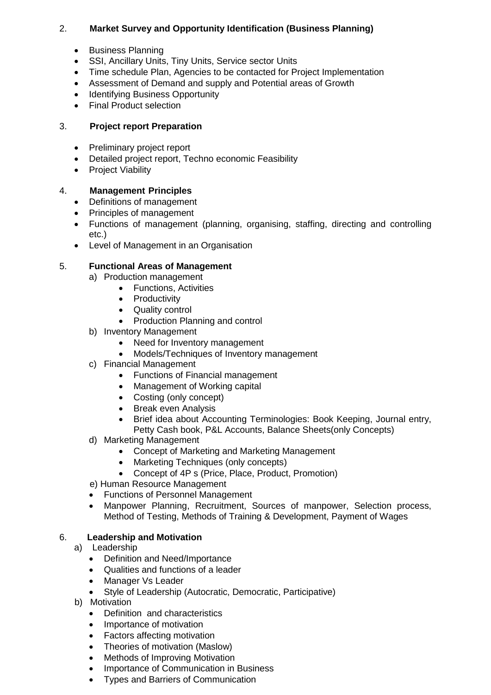### 2. **Market Survey and Opportunity Identification (Business Planning)**

- Business Planning
- SSI, Ancillary Units, Tiny Units, Service sector Units
- Time schedule Plan, Agencies to be contacted for Project Implementation
- Assessment of Demand and supply and Potential areas of Growth
- Identifying Business Opportunity
- Final Product selection

### 3. **Project report Preparation**

- Preliminary project report
- Detailed project report, Techno economic Feasibility
- Project Viability

### 4. **Management Principles**

- Definitions of management
- Principles of management
- Functions of management (planning, organising, staffing, directing and controlling etc.)
- Level of Management in an Organisation

### 5. **Functional Areas of Management**

- a) Production management
	- Functions, Activities
	- Productivity
	- Quality control
	- Production Planning and control
- b) Inventory Management
	- Need for Inventory management
	- Models/Techniques of Inventory management
- c) Financial Management
	- Functions of Financial management
	- Management of Working capital
	- Costing (only concept)
	- Break even Analysis
	- Brief idea about Accounting Terminologies: Book Keeping, Journal entry, Petty Cash book, P&L Accounts, Balance Sheets(only Concepts)
- d) Marketing Management
	- Concept of Marketing and Marketing Management
	- Marketing Techniques (only concepts)
	- Concept of 4P s (Price, Place, Product, Promotion)
- e) Human Resource Management
- Functions of Personnel Management
- Manpower Planning, Recruitment, Sources of manpower, Selection process, Method of Testing, Methods of Training & Development, Payment of Wages

#### 6. **Leadership and Motivation**

- a) Leadership
	- Definition and Need/Importance
	- Qualities and functions of a leader
	- Manager Vs Leader
	- Style of Leadership (Autocratic, Democratic, Participative)
- b) Motivation
	- Definition and characteristics
	- Importance of motivation
	- Factors affecting motivation
	- Theories of motivation (Maslow)
	- Methods of Improving Motivation
	- Importance of Communication in Business
	- Types and Barriers of Communication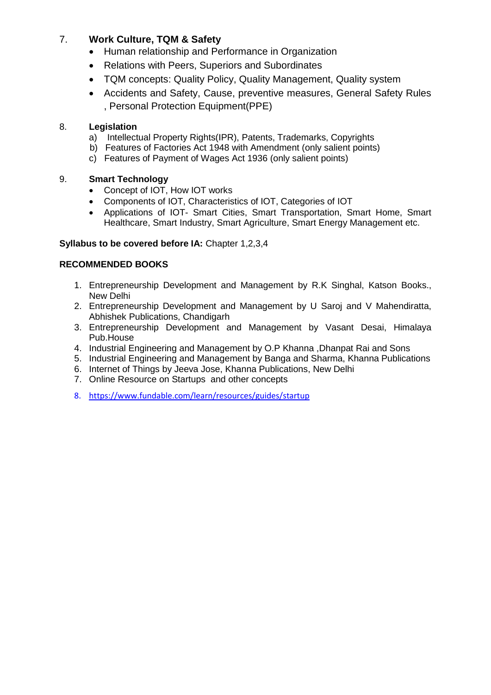# 7. **Work Culture, TQM & Safety**

- Human relationship and Performance in Organization
- Relations with Peers, Superiors and Subordinates
- TQM concepts: Quality Policy, Quality Management, Quality system
- Accidents and Safety, Cause, preventive measures, General Safety Rules , Personal Protection Equipment(PPE)

### 8. **Legislation**

- a) Intellectual Property Rights(IPR), Patents, Trademarks, Copyrights
- b) Features of Factories Act 1948 with Amendment (only salient points)
- c) Features of Payment of Wages Act 1936 (only salient points)

### 9. **Smart Technology**

- Concept of IOT, How IOT works
- Components of IOT, Characteristics of IOT, Categories of IOT
- Applications of IOT- Smart Cities, Smart Transportation, Smart Home, Smart Healthcare, Smart Industry, Smart Agriculture, Smart Energy Management etc.

### **Syllabus to be covered before IA:** Chapter 1,2,3,4

### **RECOMMENDED BOOKS**

- 1. Entrepreneurship Development and Management by R.K Singhal, Katson Books., New Delhi
- 2. Entrepreneurship Development and Management by U Saroj and V Mahendiratta, Abhishek Publications, Chandigarh
- 3. Entrepreneurship Development and Management by Vasant Desai, Himalaya Pub.House
- 4. Industrial Engineering and Management by O.P Khanna ,Dhanpat Rai and Sons
- 5. Industrial Engineering and Management by Banga and Sharma, Khanna Publications
- 6. Internet of Things by Jeeva Jose, Khanna Publications, New Delhi
- 7. Online Resource on Startups and other concepts
- 8. <https://www.fundable.com/learn/resources/guides/startup>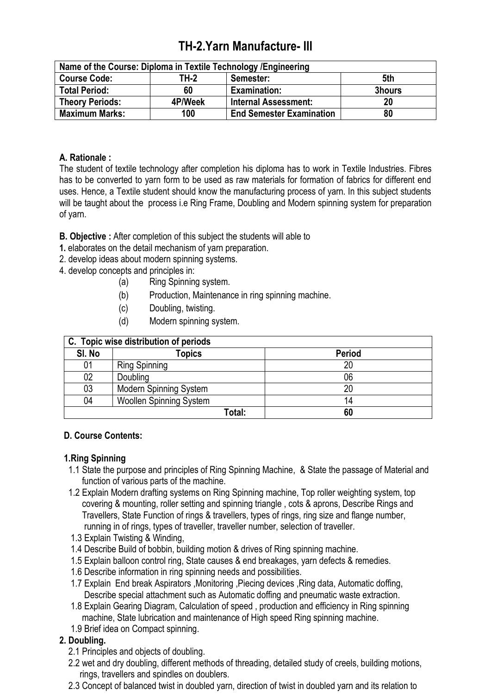# **TH-2.Yarn Manufacture- III**

| Name of the Course: Diploma in Textile Technology / Engineering |         |                                 |        |  |
|-----------------------------------------------------------------|---------|---------------------------------|--------|--|
| TH-2<br><b>Course Code:</b><br>5th<br>Semester:                 |         |                                 |        |  |
| <b>Total Period:</b>                                            | 60      | <b>Examination:</b>             | 3hours |  |
| <b>Theory Periods:</b>                                          | 4P/Week | <b>Internal Assessment:</b>     | 20     |  |
| <b>Maximum Marks:</b>                                           | 100     | <b>End Semester Examination</b> | 80     |  |

### **A. Rationale :**

The student of textile technology after completion his diploma has to work in Textile Industries. Fibres has to be converted to yarn form to be used as raw materials for formation of fabrics for different end uses. Hence, a Textile student should know the manufacturing process of yarn. In this subject students will be taught about the process i.e Ring Frame, Doubling and Modern spinning system for preparation of yarn.

**B. Objective :** After completion of this subject the students will able to

- **1.** elaborates on the detail mechanism of yarn preparation.
- 2. develop ideas about modern spinning systems.
- 4. develop concepts and principles in:
	- (a) Ring Spinning system.
	- (b) Production, Maintenance in ring spinning machine.
	- (c) Doubling, twisting.
	- (d) Modern spinning system.

| C. Topic wise distribution of periods |                                |               |  |  |  |
|---------------------------------------|--------------------------------|---------------|--|--|--|
| SI. No                                | <b>Topics</b>                  | <b>Period</b> |  |  |  |
| 01                                    | <b>Ring Spinning</b>           | 20            |  |  |  |
| 02                                    | Doubling                       | 06            |  |  |  |
| 03                                    | <b>Modern Spinning System</b>  | 20            |  |  |  |
| 04                                    | <b>Woollen Spinning System</b> | 14            |  |  |  |
|                                       | Total:                         | 60            |  |  |  |

### **D. Course Contents:**

### **1.Ring Spinning**

- 1.1 State the purpose and principles of Ring Spinning Machine, & State the passage of Material and function of various parts of the machine.
- 1.2 Explain Modern drafting systems on Ring Spinning machine, Top roller weighting system, top covering & mounting, roller setting and spinning triangle , cots & aprons, Describe Rings and Travellers, State Function of rings & travellers, types of rings, ring size and flange number, running in of rings, types of traveller, traveller number, selection of traveller.
- 1.3 Explain Twisting & Winding,
- 1.4 Describe Build of bobbin, building motion & drives of Ring spinning machine.
- 1.5 Explain balloon control ring, State causes & end breakages, yarn defects & remedies.
- 1.6 Describe information in ring spinning needs and possibilities.
- 1.7 Explain End break Aspirators ,Monitoring ,Piecing devices ,Ring data, Automatic doffing, Describe special attachment such as Automatic doffing and pneumatic waste extraction.
- 1.8 Explain Gearing Diagram, Calculation of speed , production and efficiency in Ring spinning machine, State lubrication and maintenance of High speed Ring spinning machine.
- 1.9 Brief idea on Compact spinning.

# **2. Doubling.**

- 2.1 Principles and objects of doubling.
- 2.2 wet and dry doubling, different methods of threading, detailed study of creels, building motions, rings, travellers and spindles on doublers.
- 2.3 Concept of balanced twist in doubled yarn, direction of twist in doubled yarn and its relation to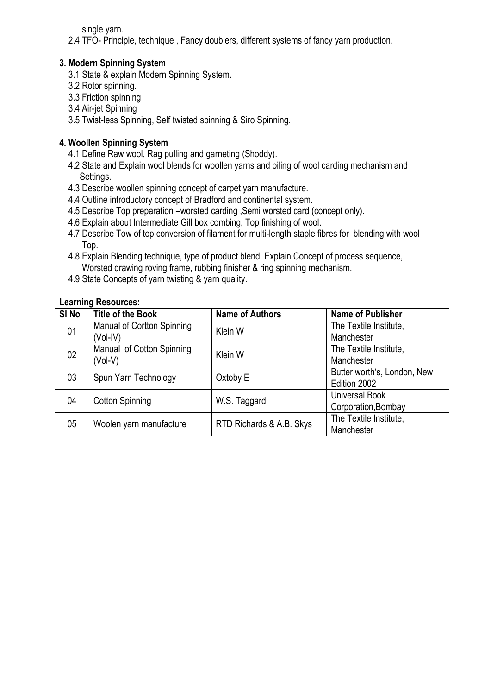single yarn.

2.4 TFO- Principle, technique , Fancy doublers, different systems of fancy yarn production.

# **3. Modern Spinning System**

- 3.1 State & explain Modern Spinning System.
- 3.2 Rotor spinning.
- 3.3 Friction spinning
- 3.4 Air-jet Spinning
- 3.5 Twist-less Spinning, Self twisted spinning & Siro Spinning.

# **4. Woollen Spinning System**

- 4.1 Define Raw wool, Rag pulling and garneting (Shoddy).
- 4.2 State and Explain wool blends for woollen yarns and oiling of wool carding mechanism and Settings.
- 4.3 Describe woollen spinning concept of carpet yarn manufacture.
- 4.4 Outline introductory concept of Bradford and continental system.
- 4.5 Describe Top preparation –worsted carding ,Semi worsted card (concept only).
- 4.6 Explain about Intermediate Gill box combing, Top finishing of wool.
- 4.7 Describe Tow of top conversion of filament for multi-length staple fibres for blending with wool Top.
- 4.8 Explain Blending technique, type of product blend, Explain Concept of process sequence, Worsted drawing roving frame, rubbing finisher & ring spinning mechanism.
- 4.9 State Concepts of yarn twisting & yarn quality.

|       | <b>Learning Resources:</b>             |                          |                                              |  |  |  |
|-------|----------------------------------------|--------------------------|----------------------------------------------|--|--|--|
| SI No | <b>Title of the Book</b>               | <b>Name of Authors</b>   | <b>Name of Publisher</b>                     |  |  |  |
| 01    | Manual of Cortton Spinning<br>(Vol-IV) | Klein W                  | The Textile Institute,<br>Manchester         |  |  |  |
| 02    | Manual of Cotton Spinning<br>(Vol-V)   | Klein W                  | The Textile Institute,<br>Manchester         |  |  |  |
| 03    | Spun Yarn Technology                   | Oxtoby E                 | Butter worth's, London, New<br>Edition 2002  |  |  |  |
| 04    | <b>Cotton Spinning</b>                 | W.S. Taggard             | <b>Universal Book</b><br>Corporation, Bombay |  |  |  |
| 05    | Woolen yarn manufacture                | RTD Richards & A.B. Skys | The Textile Institute,<br>Manchester         |  |  |  |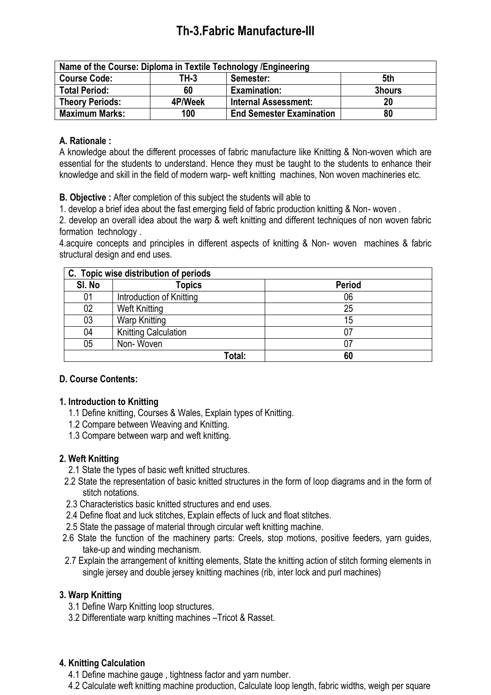# **Th-3.Fabric Manufacture-III**

| Name of the Course: Diploma in Textile Technology / Engineering |         |                                 |        |  |
|-----------------------------------------------------------------|---------|---------------------------------|--------|--|
| <b>Course Code:</b>                                             | TH-3    | Semester:                       | 5th    |  |
| <b>Total Period:</b>                                            | 60      | <b>Examination:</b>             | 3hours |  |
| <b>Theory Periods:</b>                                          | 4P/Week | <b>Internal Assessment:</b>     | 20     |  |
| <b>Maximum Marks:</b>                                           | 100     | <b>End Semester Examination</b> | 80     |  |

### **A. Rationale :**

A knowledge about the different processes of fabric manufacture like Knitting & Non-woven which are essential for the students to understand. Hence they must be taught to the students to enhance their knowledge and skill in the field of modern warp- weft knitting machines, Non woven machineries etc.

**B. Objective :** After completion of this subject the students will able to

1. develop a brief idea about the fast emerging field of fabric production knitting & Non- woven .

2. develop an overall idea about the warp & weft knitting and different techniques of non woven fabric formation technology .

4.acquire concepts and principles in different aspects of knitting & Non- woven machines & fabric structural design and end uses.

| C. Topic wise distribution of periods |                             |               |  |  |  |
|---------------------------------------|-----------------------------|---------------|--|--|--|
| SI. No                                | <b>Topics</b>               | <b>Period</b> |  |  |  |
| 01                                    | Introduction of Knitting    | 06            |  |  |  |
| 02                                    | <b>Weft Knitting</b>        | 25            |  |  |  |
| 03                                    | <b>Warp Knitting</b>        | 15            |  |  |  |
| 04                                    | <b>Knitting Calculation</b> | 07            |  |  |  |
| 05                                    | Non-Woven                   | 07            |  |  |  |
|                                       | Total:                      | 60            |  |  |  |

# **D. Course Contents:**

### **1. Introduction to Knitting**

- 1.1 Define knitting, Courses & Wales, Explain types of Knitting.
- 1.2 Compare between Weaving and Knitting.
- 1.3 Compare between warp and weft knitting.

### **2. Weft Knitting**

- 2.1 State the types of basic weft knitted structures.
- 2.2 State the representation of basic knitted structures in the form of loop diagrams and in the form of stitch notations.
- 2.3 Characteristics basic knitted structures and end uses.
- 2.4 Define float and luck stitches, Explain effects of luck and float stitches.
- 2.5 State the passage of material through circular weft knitting machine.
- 2.6 State the function of the machinery parts: Creels, stop motions, positive feeders, yarn guides, take-up and winding mechanism.
- 2.7 Explain the arrangement of knitting elements, State the knitting action of stitch forming elements in single jersey and double jersey knitting machines (rib, inter lock and purl machines)

# **3. Warp Knitting**

- 3.1 Define Warp Knitting loop structures.
- 3.2 Differentiate warp knitting machines –Tricot & Rasset.

### **4. Knitting Calculation**

- 4.1 Define machine gauge , tightness factor and yarn number.
- 4.2 Calculate weft knitting machine production, Calculate loop length, fabric widths, weigh per square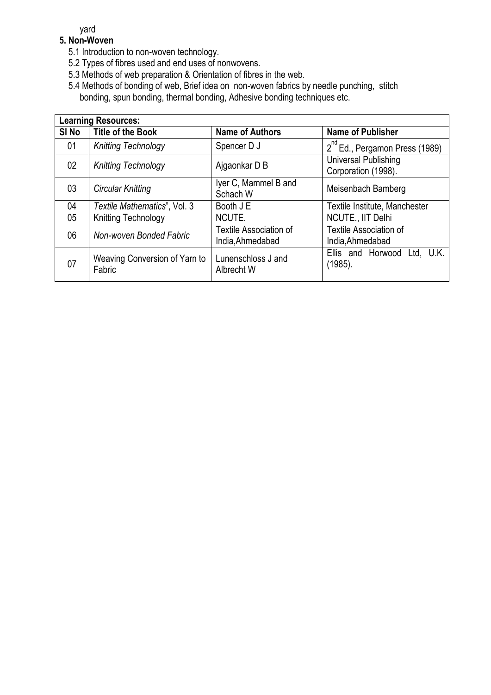yard

### **5. Non-Woven**

- 5.1 Introduction to non-woven technology.
- 5.2 Types of fibres used and end uses of nonwovens.
- 5.3 Methods of web preparation & Orientation of fibres in the web.
- 5.4 Methods of bonding of web, Brief idea on non-woven fabrics by needle punching, stitch bonding, spun bonding, thermal bonding, Adhesive bonding techniques etc.

|                  | <b>Learning Resources:</b>              |                                                   |                                                    |  |  |
|------------------|-----------------------------------------|---------------------------------------------------|----------------------------------------------------|--|--|
| SI <sub>No</sub> | <b>Title of the Book</b>                | <b>Name of Authors</b>                            | <b>Name of Publisher</b>                           |  |  |
| 01               | <b>Knitting Technology</b>              | Spencer D J                                       | 2 <sup>nd</sup> Ed., Pergamon Press (1989)         |  |  |
| 02 <sub>2</sub>  | <b>Knitting Technology</b>              | Ajgaonkar D B                                     | <b>Universal Publishing</b><br>Corporation (1998). |  |  |
| 03               | Circular Knitting                       | Iyer C, Mammel B and<br>Schach W                  | Meisenbach Bamberg                                 |  |  |
| 04               | Textile Mathematics", Vol. 3            | Booth J E                                         | Textile Institute, Manchester                      |  |  |
| 05               | Knitting Technology                     | NCUTE.                                            | NCUTE., IIT Delhi                                  |  |  |
| 06               | Non-woven Bonded Fabric                 | <b>Textile Association of</b><br>India, Ahmedabad | <b>Textile Association of</b><br>India, Ahmedabad  |  |  |
| 07               | Weaving Conversion of Yarn to<br>Fabric | Lunenschloss J and<br>Albrecht W                  | Ellis and Horwood Ltd, U.K.<br>$(1985)$ .          |  |  |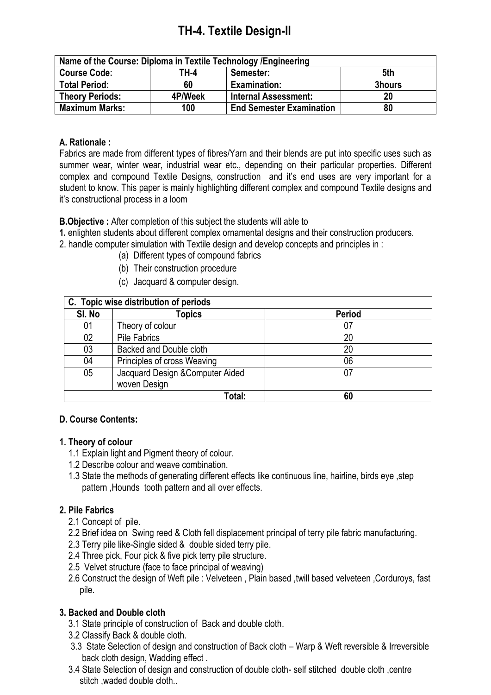# **TH-4. Textile Design-II**

| Name of the Course: Diploma in Textile Technology / Engineering |         |                                 |        |  |
|-----------------------------------------------------------------|---------|---------------------------------|--------|--|
| <b>Course Code:</b>                                             | TH-4    | Semester:                       | 5th    |  |
| <b>Total Period:</b>                                            | 60      | <b>Examination:</b>             | 3hours |  |
| <b>Theory Periods:</b>                                          | 4P/Week | <b>Internal Assessment:</b>     | 20     |  |
| <b>Maximum Marks:</b>                                           | 100     | <b>End Semester Examination</b> | 80     |  |

### **A. Rationale :**

Fabrics are made from different types of fibres/Yarn and their blends are put into specific uses such as summer wear, winter wear, industrial wear etc., depending on their particular properties. Different complex and compound Textile Designs, construction and it's end uses are very important for a student to know. This paper is mainly highlighting different complex and compound Textile designs and it's constructional process in a loom

**B.Objective :** After completion of this subject the students will able to

- **1.** enlighten students about different complex ornamental designs and their construction producers.
- 2. handle computer simulation with Textile design and develop concepts and principles in :
	- (a) Different types of compound fabrics
	- (b) Their construction procedure
	- (c) Jacquard & computer design.

| C. Topic wise distribution of periods |                                                  |               |  |  |  |
|---------------------------------------|--------------------------------------------------|---------------|--|--|--|
| SI. No                                | Topics                                           | <b>Period</b> |  |  |  |
| 01                                    | Theory of colour                                 | 07            |  |  |  |
| 02                                    | <b>Pile Fabrics</b>                              | 20            |  |  |  |
| 03                                    | Backed and Double cloth                          | 20            |  |  |  |
| 04                                    | Principles of cross Weaving                      | 06            |  |  |  |
| 05                                    | Jacquard Design & Computer Aided<br>woven Design | 07            |  |  |  |
|                                       | Total:                                           | 60            |  |  |  |

# **D. Course Contents:**

### **1. Theory of colour**

- 1.1 Explain light and Pigment theory of colour.
- 1.2 Describe colour and weave combination.
- 1.3 State the methods of generating different effects like continuous line, hairline, birds eye ,step pattern ,Hounds tooth pattern and all over effects.

# **2. Pile Fabrics**

- 2.1 Concept of pile.
- 2.2 Brief idea on Swing reed & Cloth fell displacement principal of terry pile fabric manufacturing.
- 2.3 Terry pile like-Single sided & double sided terry pile.
- 2.4 Three pick, Four pick & five pick terry pile structure.
- 2.5 Velvet structure (face to face principal of weaving)
- 2.6 Construct the design of Weft pile : Velveteen , Plain based ,twill based velveteen ,Corduroys, fast pile.

# **3. Backed and Double cloth**

- 3.1 State principle of construction of Back and double cloth.
- 3.2 Classify Back & double cloth.
- 3.3 State Selection of design and construction of Back cloth Warp & Weft reversible & Irreversible back cloth design, Wadding effect .
- 3.4 State Selection of design and construction of double cloth- self stitched double cloth ,centre stitch ,waded double cloth..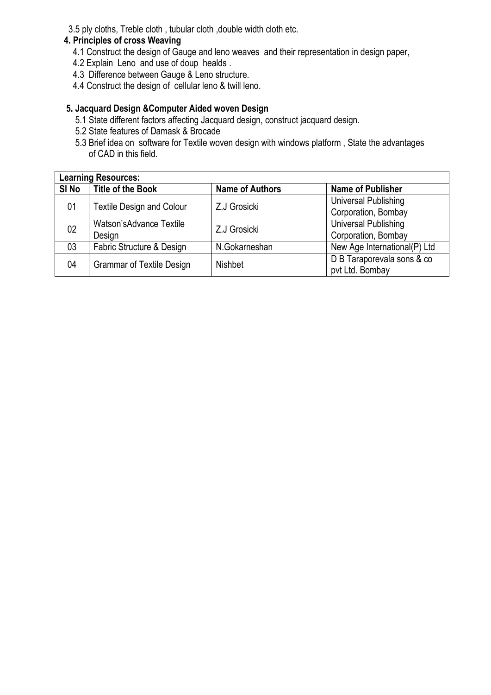3.5 ply cloths, Treble cloth , tubular cloth ,double width cloth etc.

### **4. Principles of cross Weaving**

- 4.1 Construct the design of Gauge and leno weaves and their representation in design paper,
- 4.2 Explain Leno and use of doup healds .
- 4.3 Difference between Gauge & Leno structure.
- 4.4 Construct the design of cellular leno & twill leno.

### **5. Jacquard Design &Computer Aided woven Design**

- 5.1 State different factors affecting Jacquard design, construct jacquard design.
- 5.2 State features of Damask & Brocade
- 5.3 Brief idea on software for Textile woven design with windows platform , State the advantages of CAD in this field.

|                  | <b>Learning Resources:</b>       |                        |                              |  |  |  |
|------------------|----------------------------------|------------------------|------------------------------|--|--|--|
| SI <sub>No</sub> | <b>Title of the Book</b>         | <b>Name of Authors</b> | <b>Name of Publisher</b>     |  |  |  |
| 01               | <b>Textile Design and Colour</b> | Z.J Grosicki           | Universal Publishing         |  |  |  |
|                  |                                  |                        | Corporation, Bombay          |  |  |  |
| 02               | Watson's Advance Textile         | Z.J Grosicki           | Universal Publishing         |  |  |  |
|                  | Design                           |                        | Corporation, Bombay          |  |  |  |
| 03               | Fabric Structure & Design        | N.Gokarneshan          | New Age International(P) Ltd |  |  |  |
|                  |                                  | <b>Nishbet</b>         | D B Taraporevala sons & co   |  |  |  |
| 04               | <b>Grammar of Textile Design</b> |                        | pvt Ltd. Bombay              |  |  |  |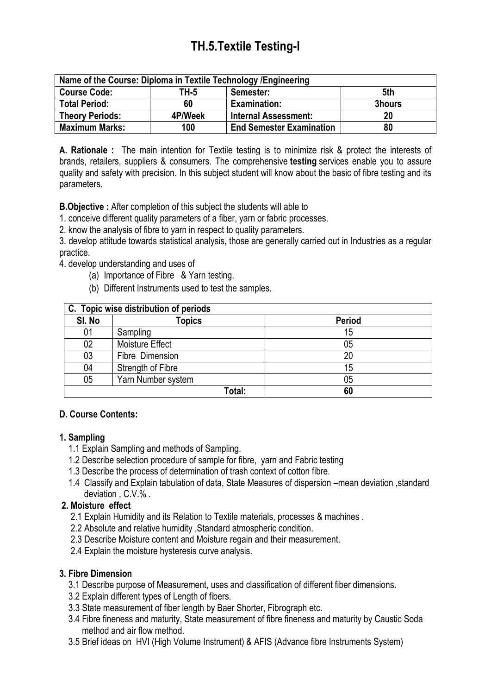# **TH.5.Textile Testing-I**

| Name of the Course: Diploma in Textile Technology / Engineering |         |                                 |        |
|-----------------------------------------------------------------|---------|---------------------------------|--------|
| <b>Course Code:</b>                                             | TH-5    | Semester:                       | 5th    |
| <b>Total Period:</b>                                            | 60      | <b>Examination:</b>             | 3hours |
| <b>Theory Periods:</b>                                          | 4P/Week | <b>Internal Assessment:</b>     | 20     |
| <b>Maximum Marks:</b>                                           | 100     | <b>End Semester Examination</b> | 80     |

**A. Rationale :** The main intention for Textile testing is to minimize risk & protect the interests of brands, retailers, suppliers & consumers. The comprehensive **testing** services enable you to assure quality and safety with precision. In this subject student will know about the basic of fibre testing and its parameters.

**B.Objective :** After completion of this subject the students will able to

1. conceive different quality parameters of a fiber, yarn or fabric processes.

2. know the analysis of fibre to yarn in respect to quality parameters.

3. develop attitude towards statistical analysis, those are generally carried out in Industries as a regular practice.

4. develop understanding and uses of

- (a) Importance of Fibre & Yarn testing.
- (b) Different Instruments used to test the samples.

|        | C. Topic wise distribution of periods |               |  |  |
|--------|---------------------------------------|---------------|--|--|
| SI. No | Topics                                | <b>Period</b> |  |  |
| 01     | Sampling                              | 15            |  |  |
| 02     | Moisture Effect                       | 05            |  |  |
| 03     | Fibre Dimension                       | 20            |  |  |
| 04     | Strength of Fibre                     | 15            |  |  |
| 05     | Yarn Number system                    | 05            |  |  |
|        | Total:                                | 60            |  |  |

### **D. Course Contents:**

### **1. Sampling**

- 1.1 Explain Sampling and methods of Sampling.
- 1.2 Describe selection procedure of sample for fibre, yarn and Fabric testing
- 1.3 Describe the process of determination of trash context of cotton fibre.
- 1.4 Classify and Explain tabulation of data, State Measures of dispersion –mean deviation ,standard deviation  $C.V.$ %

### **2. Moisture effect**

- 2.1 Explain Humidity and its Relation to Textile materials, processes & machines .
- 2.2 Absolute and relative humidity ,Standard atmospheric condition.
- 2.3 Describe Moisture content and Moisture regain and their measurement.
- 2.4 Explain the moisture hysteresis curve analysis.

### **3. Fibre Dimension**

- 3.1 Describe purpose of Measurement, uses and classification of different fiber dimensions.
- 3.2 Explain different types of Length of fibers.
- 3.3 State measurement of fiber length by Baer Shorter, Fibrograph etc.
- 3.4 Fibre fineness and maturity, State measurement of fibre fineness and maturity by Caustic Soda method and air flow method.
- 3.5 Brief ideas on HVI (High Volume Instrument) & AFIS (Advance fibre Instruments System)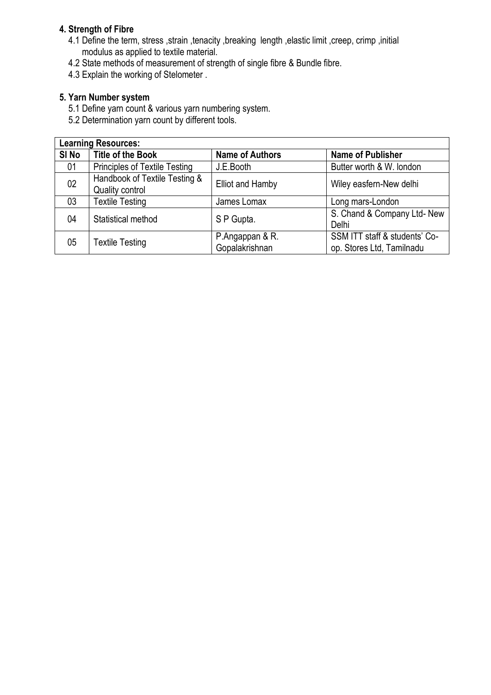# **4. Strength of Fibre**

- 4.1 Define the term, stress ,strain ,tenacity ,breaking length ,elastic limit ,creep, crimp ,initial modulus as applied to textile material.
- 4.2 State methods of measurement of strength of single fibre & Bundle fibre.
- 4.3 Explain the working of Stelometer .

### **5. Yarn Number system**

- 5.1 Define yarn count & various yarn numbering system.
- 5.2 Determination yarn count by different tools.

|                  | <b>Learning Resources:</b>                              |                                   |                                                            |  |
|------------------|---------------------------------------------------------|-----------------------------------|------------------------------------------------------------|--|
| SI <sub>No</sub> | <b>Title of the Book</b>                                | <b>Name of Authors</b>            | <b>Name of Publisher</b>                                   |  |
| 01               | <b>Principles of Textile Testing</b>                    | J.E.Booth                         | Butter worth & W. london                                   |  |
| 02               | Handbook of Textile Testing &<br><b>Quality control</b> | Elliot and Hamby                  | Wiley easfern-New delhi                                    |  |
| 03               | <b>Textile Testing</b>                                  | James Lomax                       | Long mars-London                                           |  |
| 04               | Statistical method                                      | S P Gupta.                        | S. Chand & Company Ltd- New<br><b>Delhi</b>                |  |
| 05               | <b>Textile Testing</b>                                  | P.Angappan & R.<br>Gopalakrishnan | SSM ITT staff & students' Co-<br>op. Stores Ltd, Tamilnadu |  |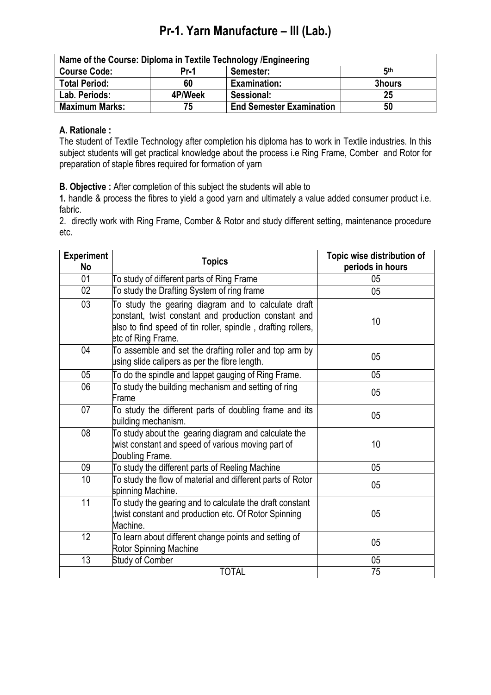# **Pr-1. Yarn Manufacture – III (Lab.)**

| Name of the Course: Diploma in Textile Technology / Engineering |         |                                 |        |
|-----------------------------------------------------------------|---------|---------------------------------|--------|
| <b>Course Code:</b>                                             | Pr-1    | Semester:                       | 5th    |
| <b>Total Period:</b>                                            | 60      | <b>Examination:</b>             | 3hours |
| Lab. Periods:                                                   | 4P/Week | Sessional:                      | 25     |
| <b>Maximum Marks:</b>                                           | 75      | <b>End Semester Examination</b> | 50     |

### **A. Rationale :**

The student of Textile Technology after completion his diploma has to work in Textile industries. In this subject students will get practical knowledge about the process i.e Ring Frame, Comber and Rotor for preparation of staple fibres required for formation of yarn

**B. Objective :** After completion of this subject the students will able to

**1.** handle & process the fibres to yield a good yarn and ultimately a value added consumer product i.e. fabric.

2. directly work with Ring Frame, Comber & Rotor and study different setting, maintenance procedure etc.

| <b>Experiment</b><br>No | <b>Topics</b>                                                                                                                                                                                     | Topic wise distribution of<br>periods in hours |
|-------------------------|---------------------------------------------------------------------------------------------------------------------------------------------------------------------------------------------------|------------------------------------------------|
| 01                      | To study of different parts of Ring Frame                                                                                                                                                         | 05                                             |
| 02                      | To study the Drafting System of ring frame                                                                                                                                                        | 05                                             |
| 03                      | To study the gearing diagram and to calculate draft<br>constant, twist constant and production constant and<br>also to find speed of tin roller, spindle, drafting rollers,<br>etc of Ring Frame. | 10 <sup>1</sup>                                |
| 04                      | To assemble and set the drafting roller and top arm by<br>using slide calipers as per the fibre length.                                                                                           | 05                                             |
| 05                      | To do the spindle and lappet gauging of Ring Frame.                                                                                                                                               | 05                                             |
| 06                      | To study the building mechanism and setting of ring<br>Frame                                                                                                                                      | 05                                             |
| 07                      | To study the different parts of doubling frame and its<br>building mechanism.                                                                                                                     | 05                                             |
| 08                      | To study about the gearing diagram and calculate the<br>twist constant and speed of various moving part of<br>Doubling Frame.                                                                     | 10 <sup>1</sup>                                |
| 09                      | To study the different parts of Reeling Machine                                                                                                                                                   | 05                                             |
| 10                      | To study the flow of material and different parts of Rotor<br>spinning Machine.                                                                                                                   | 05                                             |
| 11                      | To study the gearing and to calculate the draft constant<br>twist constant and production etc. Of Rotor Spinning<br>Machine.                                                                      | 05                                             |
| 12 <sup>°</sup>         | To learn about different change points and setting of<br>Rotor Spinning Machine                                                                                                                   | 05                                             |
| 13                      | <b>Study of Comber</b>                                                                                                                                                                            | $05\,$                                         |
|                         | <b>TOTAL</b>                                                                                                                                                                                      | 75                                             |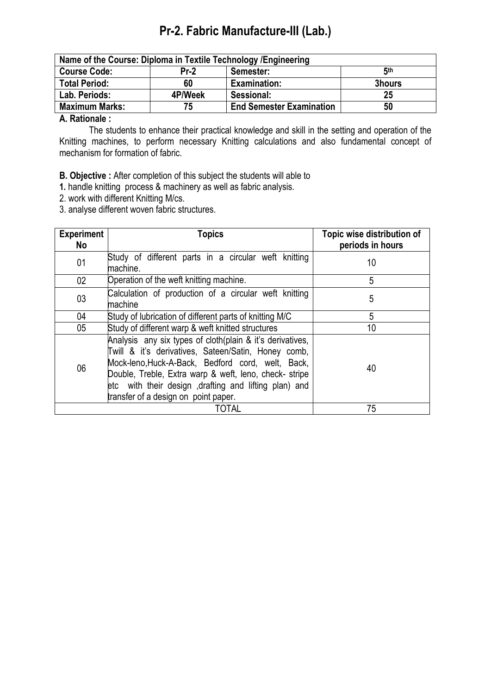# **Pr-2. Fabric Manufacture-III (Lab.)**

| Name of the Course: Diploma in Textile Technology / Engineering |         |                                 |        |
|-----------------------------------------------------------------|---------|---------------------------------|--------|
| <b>Course Code:</b>                                             | $Pr-2$  | Semester:                       | 5th    |
| <b>Total Period:</b>                                            | 60      | <b>Examination:</b>             | 3hours |
| Lab. Periods:                                                   | 4P/Week | Sessional:                      | 25     |
| <b>Maximum Marks:</b>                                           | 75      | <b>End Semester Examination</b> | 50     |
| .                                                               |         |                                 |        |

### **A. Rationale :**

The students to enhance their practical knowledge and skill in the setting and operation of the Knitting machines, to perform necessary Knitting calculations and also fundamental concept of mechanism for formation of fabric.

**B. Objective :** After completion of this subject the students will able to

**1.** handle knitting process & machinery as well as fabric analysis.

- 2. work with different Knitting M/cs.
- 3. analyse different woven fabric structures.

| <b>Experiment</b><br>No | <b>Topics</b>                                                                                                                                                                                                                                                                                                                   | Topic wise distribution of<br>periods in hours |
|-------------------------|---------------------------------------------------------------------------------------------------------------------------------------------------------------------------------------------------------------------------------------------------------------------------------------------------------------------------------|------------------------------------------------|
| 01                      | Study of different parts in a circular weft knitting<br>machine.                                                                                                                                                                                                                                                                | 10                                             |
| 02 <sub>2</sub>         | Operation of the weft knitting machine.                                                                                                                                                                                                                                                                                         | 5                                              |
| 03                      | Calculation of production of a circular weft knitting<br>machine                                                                                                                                                                                                                                                                | 5                                              |
| 04                      | Study of lubrication of different parts of knitting M/C                                                                                                                                                                                                                                                                         | 5                                              |
| 05                      | Study of different warp & weft knitted structures                                                                                                                                                                                                                                                                               | 10                                             |
| 06                      | Analysis any six types of cloth(plain & it's derivatives,<br>Twill & it's derivatives, Sateen/Satin, Honey comb,<br>Mock-leno, Huck-A-Back, Bedford cord, welt, Back,<br>Double, Treble, Extra warp & weft, leno, check- stripe<br>etc with their design drafting and lifting plan) and<br>transfer of a design on point paper. | 40                                             |
|                         | TOTAL                                                                                                                                                                                                                                                                                                                           | 75                                             |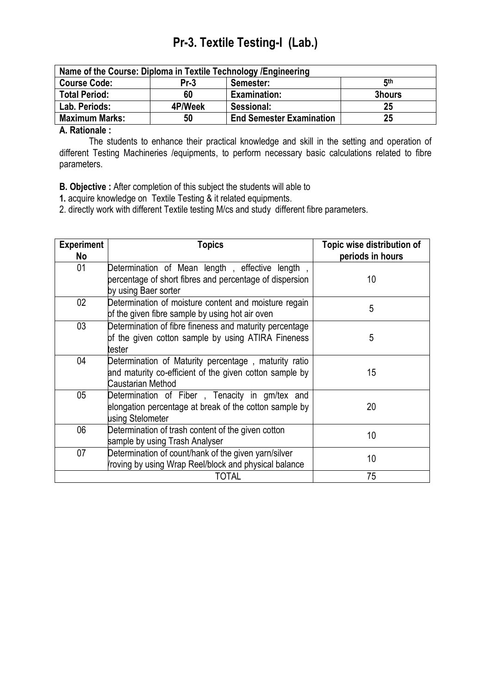# **Pr-3. Textile Testing-I (Lab.)**

| Name of the Course: Diploma in Textile Technology / Engineering |         |                                 |        |
|-----------------------------------------------------------------|---------|---------------------------------|--------|
| <b>Course Code:</b>                                             | $Pr-3$  | Semester:                       | 5th    |
| <b>Total Period:</b>                                            | 60      | <b>Examination:</b>             | 3hours |
| Lab. Periods:                                                   | 4P/Week | Sessional:                      | 25     |
| <b>Maximum Marks:</b>                                           | 50      | <b>End Semester Examination</b> | 25     |

### **A. Rationale :**

The students to enhance their practical knowledge and skill in the setting and operation of different Testing Machineries /equipments, to perform necessary basic calculations related to fibre parameters.

**B. Objective :** After completion of this subject the students will able to

**1.** acquire knowledge on Textile Testing & it related equipments.

2. directly work with different Textile testing M/cs and study different fibre parameters.

| <b>Experiment</b> | <b>Topics</b>                                                                                                                        | Topic wise distribution of |
|-------------------|--------------------------------------------------------------------------------------------------------------------------------------|----------------------------|
| No                |                                                                                                                                      | periods in hours           |
| 01                | Determination of Mean length, effective length,<br>percentage of short fibres and percentage of dispersion<br>by using Baer sorter   | 10                         |
| 02 <sub>2</sub>   | Determination of moisture content and moisture regain<br>of the given fibre sample by using hot air oven                             | 5                          |
| 03                | Determination of fibre fineness and maturity percentage<br>of the given cotton sample by using ATIRA Fineness<br>tester              | 5                          |
| 04                | Determination of Maturity percentage, maturity ratio<br>and maturity co-efficient of the given cotton sample by<br>Caustarian Method | 15 <sup>2</sup>            |
| 05                | Determination of Fiber, Tenacity in gm/tex and<br>elongation percentage at break of the cotton sample by<br>using Stelometer         | 20                         |
| 06                | Determination of trash content of the given cotton<br>sample by using Trash Analyser                                                 | 10 <sup>°</sup>            |
| 07                | Determination of count/hank of the given yarn/silver<br>roving by using Wrap Reel/block and physical balance                         | 10 <sup>°</sup>            |
|                   | TOTAL                                                                                                                                | 75                         |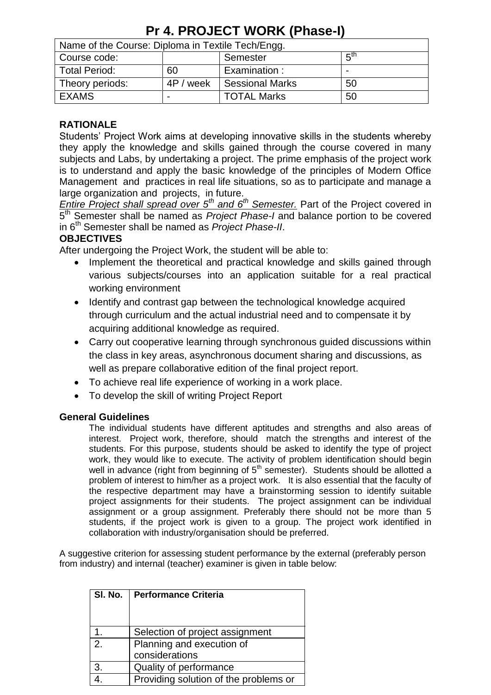# **Pr 4. PROJECT WORK (Phase-I)**

| Name of the Course: Diploma in Textile Tech/Engg. |           |                    |                        |
|---------------------------------------------------|-----------|--------------------|------------------------|
| Course code:                                      |           | Semester           | <b>հ</b> <sup>th</sup> |
| <b>Total Period:</b>                              | 60        | Examination:       |                        |
| Theory periods:                                   | 4P / week | Sessional Marks    | 50                     |
| <b>EXAMS</b>                                      |           | <b>TOTAL Marks</b> | 50                     |

# **RATIONALE**

Students' Project Work aims at developing innovative skills in the students whereby they apply the knowledge and skills gained through the course covered in many subjects and Labs, by undertaking a project. The prime emphasis of the project work is to understand and apply the basic knowledge of the principles of Modern Office Management and practices in real life situations, so as to participate and manage a large organization and projects, in future.

*Entire Project shall spread over 5th and 6th Semester.* Part of the Project covered in 5<sup>th</sup> Semester shall be named as *Project Phase-I* and balance portion to be covered in 6th Semester shall be named as *Project Phase-II*.

### **OBJECTIVES**

After undergoing the Project Work, the student will be able to:

- Implement the theoretical and practical knowledge and skills gained through various subjects/courses into an application suitable for a real practical working environment
- Identify and contrast gap between the technological knowledge acquired through curriculum and the actual industrial need and to compensate it by acquiring additional knowledge as required.
- Carry out cooperative learning through synchronous guided discussions within the class in key areas, asynchronous document sharing and discussions, as well as prepare collaborative edition of the final project report.
- To achieve real life experience of working in a work place.
- To develop the skill of writing Project Report

# **General Guidelines**

The individual students have different aptitudes and strengths and also areas of interest. Project work, therefore, should match the strengths and interest of the students. For this purpose, students should be asked to identify the type of project work, they would like to execute. The activity of problem identification should begin well in advance (right from beginning of  $5<sup>th</sup>$  semester). Students should be allotted a problem of interest to him/her as a project work. It is also essential that the faculty of the respective department may have a brainstorming session to identify suitable project assignments for their students. The project assignment can be individual assignment or a group assignment. Preferably there should not be more than 5 students, if the project work is given to a group. The project work identified in collaboration with industry/organisation should be preferred.

A suggestive criterion for assessing student performance by the external (preferably person from industry) and internal (teacher) examiner is given in table below:

| SI. No. | <b>Performance Criteria</b>           |
|---------|---------------------------------------|
|         | Selection of project assignment       |
| 2.      | Planning and execution of             |
|         | considerations                        |
| 3.      | Quality of performance                |
|         | Providing solution of the problems or |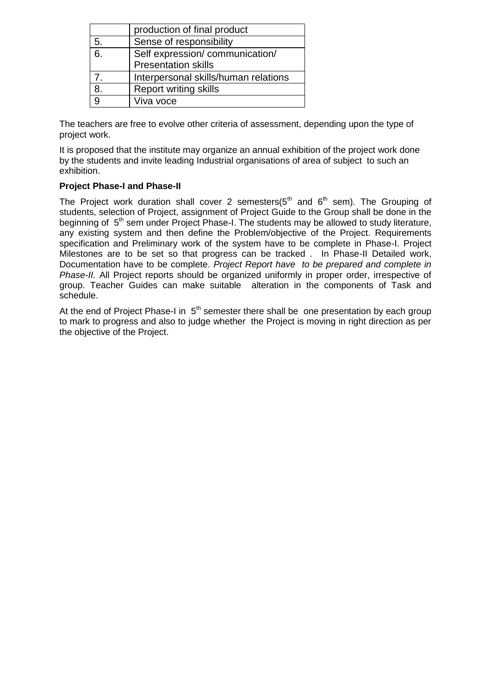|             | production of final product          |
|-------------|--------------------------------------|
| 5.          | Sense of responsibility              |
| 6.          | Self expression/communication/       |
|             | <b>Presentation skills</b>           |
| $7^{\circ}$ | Interpersonal skills/human relations |
| 8.          | Report writing skills                |
|             | Viva voce                            |

The teachers are free to evolve other criteria of assessment, depending upon the type of project work.

It is proposed that the institute may organize an annual exhibition of the project work done by the students and invite leading Industrial organisations of area of subject to such an exhibition.

### **Project Phase-I and Phase-II**

The Project work duration shall cover 2 semesters( $5<sup>th</sup>$  and  $6<sup>th</sup>$  sem). The Grouping of students, selection of Project, assignment of Project Guide to the Group shall be done in the beginning of  $5<sup>th</sup>$  sem under Project Phase-I. The students may be allowed to study literature, any existing system and then define the Problem/objective of the Project. Requirements specification and Preliminary work of the system have to be complete in Phase-I. Project Milestones are to be set so that progress can be tracked . In Phase-II Detailed work, Documentation have to be complete. *Project Report have to be prepared and complete in Phase-II.* All Project reports should be organized uniformly in proper order, irrespective of group. Teacher Guides can make suitable alteration in the components of Task and schedule.

At the end of Project Phase-I in  $5<sup>th</sup>$  semester there shall be one presentation by each group to mark to progress and also to judge whether the Project is moving in right direction as per the objective of the Project.